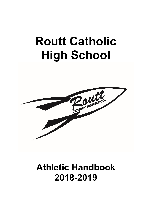# Routt Catholic High School



# Athletic Handbook 2018-2019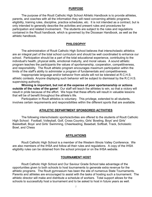#### PURPOSE

 The purpose of the Routt Catholic High School Athletic Handbook is to provide athletes, parents, and coaches with all the information they will need concerning athletic programs, eligibility, training rules, discipline, practice schedules, etc. It is not intended as a contract, but is only intended to generally describe the activities and present rules and procedures for participation and related involvement. The students are subject to the rules and regulations contained in the Routt handbook, which is governed by the Diocesan Handbook, as well as the athletic handbook.

#### PHILOSOPHY

 The administration of Routt Catholic High School believes that interscholastic athletics are an integral part of the total school curriculum and should be well coordinated to enhance our school. Participation should be a part of the total educational experience, contributing to the individual's health, physical skills, emotional maturity, and moral values. A sound athletic program teaches the participants the values of sportsmanship, cooperation, competitiveness, and responsibility. The Routt athletic program encourages maximum participation within the limits of the staff's ability to administer a program of fundamentals and competitiveness.

 Inappropriate language and/or behavior from adults will not be tolerated at R.C.H.S. athletic contests. Anyone displaying such behavior will be subject to dismissal by the R.C.H.S. supervising authority.

Winning is important, but not at the expense of poor sportsmanship or actions outside of the rules of the game! Our staff will teach the athletes to win, so that a victory will result in pride because of the effort. We hope that these efforts will result in valuable lessons that will be of benefit throughout the athlete's life.

 Participation in Routt athletics is voluntary. This privilege, extended to all students, involves certain requirements and responsibilities within the different sports that are available.

#### ATHLETIC DEPARTMENT SPONSORED ACTIVITIES

 The following interscholastic sports/activities are offered to the students of Routt Catholic High School: Football, Volleyball, Golf, Cross Country, Girls' Bowling, Boys' and Girls' Basketball, Boys' and Girls' Swimming, Cheerleading, Baseball, Softball, Track, Scholastic Bowl, and Chess

#### AFFILIATIONS

 Routt Catholic High School is a member of the Western Illinois Valley Conference. We are also members of the IHSA and follow all their rules and regulations. A copy of the IHSA eligibility rules can be obtained from the school principal or on the IHSA website.

#### TOURNAMENT HOST

 Routt Catholic High School and Our Saviour Grade School take advantage of the opportunities given to both schools to host tournaments to generate extra revenue for the athletic programs. The Routt gymnasium has been the site of numerous State Tournaments. Parents and athletes are encouraged to assist with the tasks of hosting such a tournament. The athletic director will make and distribute a schedule of workers. Total support allows for the schools to successfully host a tournament and to be asked to host in future years as well.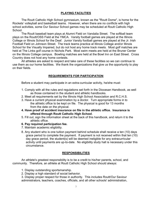# PLAYING FACILITIES

 The Routt Catholic High School gymnasium, known as the "Routt Dome", is home for the Rockets' volleyball and basketball teams. However, when there are no conflicts with high school activities, some Our Saviour School games may be scheduled at Routt Catholic High School.

 The Routt baseball team plays at Alumni Field on Vandalia Street. The softball team plays on the Routt/OSS Field at the YMCA. Varsity football games are played at the Illinois College or Illinois School for the Deaf. Junior Varsity football games are played at the Jr. Irish Football Field on Johnson Street. The track teams practice at Illinois College and/or Illinois School for the Visually Impaired, but do not host any home track meets. Most golf matches are held at The Links golf course in Nichols Park. Most swim meets are held at the Bruner Center on the Illinois College campus. Bowling matches are held at the Bowl Inn on East Street. Cross Country does not host any home contests.

 All athletes are asked to respect and take care of these facilities so we can continue to use them as our home facilities. We thank the organizations that give us the opportunity to play on their fields.

# REQUIREMENTS FOR PARTICIPATION

Before a student may participate in an extra-curricular activity, he/she must:

- 1. Comply with all the rules and regulations set forth in the Diocesan Handbook, as well as those contained in the student and athletic handbooks.
- 2. Meet all requirements set by the Illinois High School Association and R.C.H.S.
- 3. Have a current physical examination by a doctor. Turn appropriate forms in to the athletic office to be kept on file. The physical is good for 13 months from the date on the physical.
- 4. Have proof of accident insurance on file in the athletic office. Insurance is offered through Routt Catholic High School.
- 5. Fill out, sign the information sheet at the back of this handbook, and return it to the athletic office.
- 6. Pay required participation fee.
- 7. Maintain academic eligibility.
- 8. Any student who is one tuition payment behind schedule shall receive a ten (10) days grace period to complete the payment. If payment is not received within that ten (10) day grace period, the student(s) will be deemed ineligible for any extracurricular activity until payments are up-to-date. No eligibility study hall is necessary under this circumstance.

# RESPONSIBILITIES

 An athlete's greatest responsibility is to be a credit to his/her parents, school, and community. Therefore, an athlete at Routt Catholic High School should always:

- 1. Display outstanding sportsmanship.
- 2. Display a high standard of social behavior.

 3. Display proper respect for those in authority. This includes Routt/Our Saviour administrators, teachers, coaches, officials, and all other schools' administration,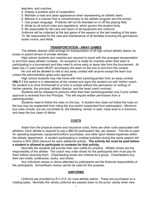teachers, and coaches.

- 4. Display a positive spirit of cooperation.
- 5. Maintain a neat and clean appearance when representing an athletic team.
- 6. Behave in a manner that is complimentary to the athletic program and the school.
- 7. Use proper language. Profanity will not be tolerated on or off the playing field.
- 8. Abide by all school rules and regulations, which govern the student body.

9. Be responsible for the care and return of all equipment and uniforms.

Uniforms will be collected at the last game of the season or the last meeting of the team.

 10. Be responsible for the care and maintenance of all facilities including the gymnasium, locker rooms, and fields.

#### TRANSPORTATION - AWAY GAMES

 The athletic director shall arrange for transportation of all high school athletic teams via buses or parent drivers of private vehicles.

 High school students and coaches are required to travel with the arranged transportation to and from away athletic contests. An exception is made for coaches when their team is participating in a tournament and they need to arrive early or leave late from the tournament. At least one (1) paid coach MUST accompany the team on the bus to and from the contest.

 No one will be allowed to ride to any away contest with anyone except the team bus unless the administration gives prior approval.

 High school students may ride home with their parent/guardian from an away contest ONLY if the parent is in attendance at the contest and signs the student out with his/her coach. No student is to drive him/herself to or from a contest without the permission (in writing) of his/her parents, the principal, athletic director, and the head coach involved.

 Students will be released to persons other than their parents/guardian only if prior written approval is received from the Principal. This will require written permission from a parent/guardian.

 Students need to follow the rules on the bus. A student who does not follow the rules on the bus may be suspended from riding the bus and/or suspended from participation. Minimum bus rules include, but are not limited to, the following: remain in seat, noise level to a minimum, and keep the bus clean of debris.

#### COSTS

 Aside from the physical exams and insurance costs, there are other costs associated with athletics. Each athlete is required to pay a \$60.00 participation fee, per season. This fee is used for operating expenses, equipment/uniform purchases, and other sport related expenses within the athletic department. A student participating in multiple activities during the same season will receive a 50% (\$30) discount for each additional activity. The activity fee must be paid before a student is allowed to participate in contests for that activity.

 Normally the students will provide their own outfits for practice. Athletic shoes are the responsibility of the athlete. The coach may order shoes for the participants who must pay for them before receiving them. Cheerleading shoes are ordered as a group. Cheerleaders buy their own briefs, turtlenecks, socks, and shoes.

 Any individual camps or clinics attended by participants are the financial responsibility of the participants. School/team money cannot be used for this purpose.

#### UNIFORMS

 Uniforms are provided by R.C.H.S. for most athletic teams. These are purchased on a rotating basis. Normally the varsity uniforms are passed down to the junior varsity when new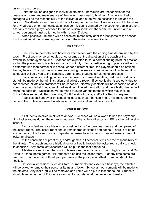uniforms are ordered.

 Uniforms will be assigned to individual athletes. Individuals are responsible for the possession, care, and maintenance of the uniform assigned to him/her. Any uniform lost or damaged will be the responsibility of the individual and a fee will be assessed to replace the uniform. No athlete should use a uniform not assigned to him/her. Uniforms are not to be worn for any purpose other than contests unless permission is granted by the coach or administration. If for any reason a player chooses to quit or is dismissed from the team, the uniform and all school equipment must be turned in within three (3) days.

 When possible, uniforms will be collected immediately after the last game of the season. If not possible, students are required to return the uniforms when directed.

#### PRACTICES

 Practices are normally held before or after school with the ending time determined by the coach. Practices may be scheduled at other times at the discretion of the coach or the availability of the gymnasiums. Coaches are expected to set a normal ending point for practice so that the players and parents can plan accordingly. If on a particular night, practice will end at a different time than normal or is scheduled for a different time, the players should be notified the day before. The gymnasiums are busy during the seasons, and when applicable, monthly schedules will be given to the coaches, parents, and students for planning purposes.

 Decisions on canceling contests in the case of inclement weather, bad road conditions, etc. will be made by the administration and athletic director. If school is dismissed early due to bad weather, all athletic practices will be canceled. Normally contests will be canceled on days when no school is held because of bad weather. The administration and the athletic director will make the decision. Notification will be made through various methods which may include – School Messenger call, Routt website, Routt Facebook page, and/or the Routt marquee.

 Practices on Sunday or on school holidays such as Thanksgiving, Christmas, etc. will not be permitted unless approved in advance by the principal and athletic director.

#### LOCKER ROOMS

 All students involved in athletics and/or PE classes will be allowed to use the boys' and girls' locker rooms during the entire school year. The athletic director and PE teacher will assign lockers.

 Each student and/or athlete is responsible for his/her personal items and the upkeep of the locker room. The locker room should remain free of clothes and debris. There is to be no food or drink in the locker rooms. Repeated offenses to locker room rules will result in loss of locker privileges.

 At the conclusion of practice(s) and/or games, all personal items are the responsibility of the athlete. The coach and/or athletic director will walk through the locker room daily to check its condition. Any items left unsecured will be put in the lost and found.

 Athletes are reminded that visiting teams use the locker room during high school and Our Saviour School home games. PE students also use the locker room. If at any time items are removed from the locker without your permission, the principal or athletic director should be notified.

 On special occasions, such as State Tournaments and extended holidays, the athletes will be asked to remove their personal items and locks. School announcements will be made to the athletes. Any locks left will be removed and items will be put in lost and found. Students should take home their P.E./practice clothing for laundering during extended breaks.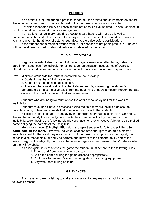#### INJURIES

 If an athlete is injured during a practice or contest, the athlete should immediately report the injury to his/her coach. The coach must notify the parents as soon as possible.

 Physician mandated injury or illness should not penalize playing time. An adult certified in C.P.R. should be present at practices and games.

 If an athlete has an injury requiring a doctor's care he/she will not be allowed to participate until the student is released to participate by the doctor. This should be in written form and given to the athletic director or submitted to the office before participation.

 If the student has a medical excuse from PE or chooses to not participate in P.E. he/she will not be allowed to participate in athletics until released by the doctor.

# ELIGIBILITY SYSTEM

 Regulations established by the IHSA govern age, semester of attendance, dates of child enrollment, absences from school, non-school team participation, acceptance of awards, attendance of sports clinics/camps, post-season participation, and academic requirements.

\*\*\*\*\* Minimum standards for Routt students will be the following:

a. Student must be a full-time student.

b. Student must be passing all subjects.

 c. There will be a weekly eligibility check determined by measuring the student's performance on a cumulative basis from the beginning of each semester through the date on which the check is made in that same semester.

 Students who are ineligible must attend the after school study hall for the week of ineligibility.

 Students must participate in practices during the time they are ineligible unless their parents, coach, or teacher requests that time to work extra with the students.

 Eligibility is checked each Thursday by the principal and/or athletic director. On Friday, the teacher will notify the student(s) and the Athletic Director will notify the coach of the ineligibility which begins the following Monday and lasts for one full week. A letter is also mailed home notifying the parents of the ineligibility.

More than three (3) ineligibilities during a sport season forfeits the privilege to participate on the team. However, individual coaches have the right to enforce a stricter ineligibility limit for the sport they are coaching. Upon making such policy for their sport, that coach is also responsible for notifying parents and players of the differing policy before the season begins. For eligibility purposes, the season begins on the "Season Starts" date as listed on the IHSA website.

If an ineligible student attends the game the student must adhere to the following rules:

- 1. Ride to and from the game with the team.
- 2. Sit on the bench during the game dressed appropriately.
- 3. Contribute to the team's effort by doing stats or carrying equipment.
- 4. Stay with team during halftime.

# GRIEVANCES

Any player or parent wishing to make a grievance, for any reason, should follow the following process: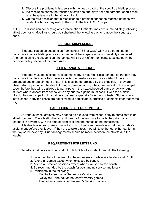- 1. Discuss the problematic issue(s) with the head coach of the specific athletic program.
- 2. If a resolution cannot be reached at step one, the player(s) and parent(s) should then take the grievance to the athletic director.
- 3. On the rare occasion that a resolution to a problem cannot be reached at these two levels, the family may wish to then go to the R.C.H.S. Principal.

NOTE: No discussion concerning any problematic situation(s) may occur immediately following athletic contests. Meetings should be scheduled the following day to remedy the issue(s) at hand.

### SCHOOL SUSPENSIONS

 Students placed on suspension from school (ISS or OSS) will not be permitted to participate in any athletic practice or contest until the suspension is successfully completed. After completing the suspension, the athlete will sit out his/her next contest, as stated in the behavior policy section of the team rules.

# ATTENDANCE AT SCHOOL

Students must be in school at least half a day, or four <u>full</u> class periods, on the day they participate in athletic activities, unless special circumstances such as a distant funeral or prolonged doctor appointment arise. This shall be determined by the principal. If they are absent (full or partial) on the day following a game or activity, they must report to the principal or coach before they will be allowed to participate in the next scheduled game or activity. Any student who is absent from school on a day prior to a game must consult with the athletic director before competing in an athletic contest, especially Saturday contests. Students who leave school early for illness are not allowed to participate in practice or contests later that same day.

# EARLY DISMISSAL FOR CONTESTS

 At various times, athletes may need to be excused from school early to participate in an athletic contest. The athletic director and coach of the team are to notify the principal and teachers in advance, with the time of dismissal and the names of the participants.

 Athletes leaving early are expected to turn in their assignments and get the next day's assignment before they leave. If they are to take a test, they will take the test either earlier in the day or the next day. Prior arrangements should be made between the athlete and the teacher.

# REQUIREMENTS FOR LETTERING

To letter in athletics at Routt Catholic High School a student must do the following:

- 1. Be a member of the team for the entire season while in attendance at Routt.
- 2. Attend all games except when excused by coach.
- 3. Attend all practice sessions except when excused by the coach.
- 4. Be recommended by the coach for outstanding service and loyalty.
- 5. Participate in the following:

 Football - one-half of the team's Varsity quarters Volleyball - one-half of the team's Varsity games Basketball - one-half of the team's Varsity quarters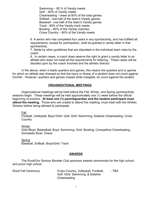Swimming – 80 % of Varsity meets Golf – 80% of Varsity meets Cheerleading - cheer at 80% of the total games Softball - one-half of the team's Varsity games Baseball - one-half of the team's Varsity games Track - 80% of the Varsity track meets Bowling – 80% of the Varsity matches Cross Country – 80% of the Varsity meets

 6. A senior who has completed four years in any sport/activity, and has fulfilled all requirements, except for participation, shall be granted a varsity letter in that sport/activity.

 7. Abide by other guidelines that are stipulated in the individual team rules by the coach.

 8. In certain cases, a coach does reserve the right to grant a varsity letter to an athlete who does not meet all the requirements for lettering. These cases will be decided upon by the coach involved and the athletic director.

 In the above, when it reads quarters and games, this means the quarters and or games for which an athlete was dressed so that the injury or illness of a student does not count against him/her. However, quarters and games missed while ineligible, do count against the student.

#### ORGANIZATIONAL MEETINGS

Organizational meetings will be held before the Fall, Winter, and Spring sports/activity seasons begin. These meetings will be held approximately one (1) week before the official beginning of practice. At least one (1) parent/guardian and the student participant must attend the meeting. Those who are unable to attend the meeting, must meet with the Athletic Director before being allowed to participate.

Fall

 Football, Volleyball, Boys'/Girls' Golf, Girls' Swimming, Sideline Cheerleading, Cross **Country** 

**Winter** 

 Girls'/Boys' Basketball, Boys' Swimming, Girls' Bowling, Competitive Cheerleading, Scholastic Bowl, Chess

 Spring Baseball, Softball, Boys/Girls' Track

#### AWARDS

 The Routt/Our Saviour Booster Club sponsors awards ceremonies for the high school and junior high school.

| <b>Routt Fall Ceremony</b> | Cross Country, Volleyball, Football, | - TBA |
|----------------------------|--------------------------------------|-------|
|                            | Golf, Girls' Swimming, & Sideline    |       |
|                            | Cheerleading                         |       |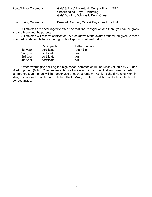| <b>Routt Winter Ceremony</b> | Girls' & Boys' Basketball, Competitive | - TBA |
|------------------------------|----------------------------------------|-------|
|                              | Cheerleading, Boys' Swimming           |       |
|                              | Girls' Bowling, Scholastic Bowl, Chess |       |
|                              |                                        |       |

Routt Spring Ceremony Baseball, Softball, Girls' & Boys' Track - TBA

 All athletes are encouraged to attend so that final recognition and thank you can be given to the athlete and the parents.

 All athletes will receive certificates. A breakdown of the awards that will be given to those who participate and letter for the high school sports is outlined below.

|          | Participants | Letter winners |
|----------|--------------|----------------|
| 1st year | certificate  | letter & pin   |
| 2nd year | certificate  | pin            |
| 3rd year | certificate  | pin            |
| 4th year | certificate  | pin            |

 Other awards given during the high school ceremonies will be Most Valuable (MVP) and Most Improved (MIP). Coaches may choose to give additional individual/team awards. Allconference team honors will be recognized at each ceremony. At high school Honor's Night in May, a senior male and female scholar-athlete, Army scholar – athlete, and Rotary athlete will be recognized.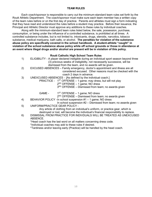#### TEAM RULES

 Each coach/sponsor is responsible to carry out the minimum-standard team rules set forth by the Routt Athletic Department. The coach/sponsor must make sure each team member has a written copy of the team rules before or on the first day of practice. Parents and athletes must sign a form indicating that they have read and understood the rules before a student may practice. Before their issuance, the Principal and Athletic Director must approve any additions to these rules by individual coaches.

 Along with the minimum-standard team rules listed below, the sale, possession, purchase, consumption, or being under the influence of a controlled substance, is prohibited at all times. A controlled substance includes, but is not limited to, intoxicants, drugs, steroids, narcotics, tobacco substance, medical marijuana, bath salts, or alcohol. The penalties for violation of the substance abuse policy are specifically covered in the school handbook. A student-athlete "caught" in violation of the school substance abuse policy while off school grounds or those in attendance at an event where illegal drugs and/or alcohol are present will be in violation of this policy.

#### Routt Catholic High School Team Rules

- 1) ELIGIBILITY A player declared ineligible during an individual sport season beyond three (3) previous weeks of ineligibility, not necessarily successive, will be
	- dismissed from the team, and no awards will be given.
- 2) EXCUSED ABSENCES Family emergency, doctor's appointment and illness are all considered excused. Other reasons must be checked with the coach 2 days in advance.
- 3) UNEXCUSED ABSENCES [As defined by the individual coach.]
	- PRACTICE  $1^{ST}$  OFFENSE 1 game; may dress, but will not play
		- $2^{ND}$  OFFENSE 1 game; NO dress

 $3<sup>RD</sup>$  OFFENSE – Dismissed from team; no awards given

GAME -  $1^{ST}$  OFFENSE – 1 game; NO dress

 $2^{ND}$  OFFENSE – Dismissed from team; no awards given

- 4) BEHAVIOR POLICY In school suspension #1 1 game; NO dress
- In school suspension #2 Dismissed from team; no awards given 5) UNIFORM/PRACTICE GEAR POLICY -

 Any article of clothing from an individual's uniform, or practice gear, which is destroyed or lost, will become the individual's financial responsibility to replace.

 6) DISMISSAL FROM PRACTICE FOR INDIVDUALS WILL BE TREATED AS UNEXCUSED ABSENCE.

\*Head coach has the last word on all matters concerning dress code.

\*Individual coaches may add to these rules if desired.

\*Tardiness and/or leaving early (Practice) will be handled by the head coach.